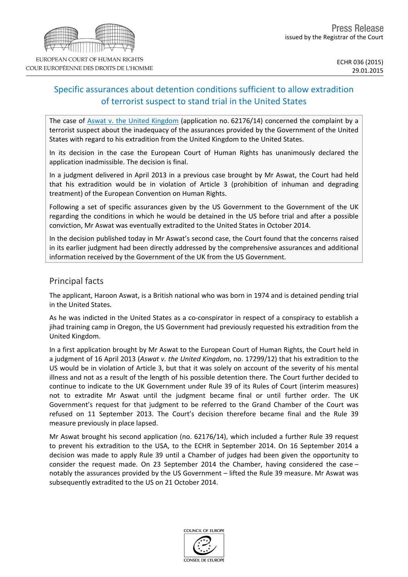# Specific assurances about detention conditions sufficient to allow extradition of terrorist suspect to stand trial in the United States

The case of [Aswat](http://hudoc.echr.coe.int/sites/eng/pages/search.aspx?i=001-150856) [v.](http://hudoc.echr.coe.int/sites/eng/pages/search.aspx?i=001-150856) [the](http://hudoc.echr.coe.int/sites/eng/pages/search.aspx?i=001-150856) [United](http://hudoc.echr.coe.int/sites/eng/pages/search.aspx?i=001-150856) [Kingdom](http://hudoc.echr.coe.int/sites/eng/pages/search.aspx?i=001-150856) (application no. 62176/14) concerned the complaint by a terrorist suspect about the inadequacy of the assurances provided by the Government of the United States with regard to his extradition from the United Kingdom to the United States.

In its decision in the case the European Court of Human Rights has unanimously declared the application inadmissible. The decision is final.

In a judgment delivered in April 2013 in a previous case brought by Mr Aswat, the Court had held that his extradition would be in violation of Article 3 (prohibition of inhuman and degrading treatment) of the European Convention on Human Rights.

Following a set of specific assurances given by the US Government to the Government of the UK regarding the conditions in which he would be detained in the US before trial and after a possible conviction, Mr Aswat was eventually extradited to the United States in October 2014.

In the decision published today in Mr Aswat's second case, the Court found that the concerns raised in its earlier judgment had been directly addressed by the comprehensive assurances and additional information received by the Government of the UK from the US Government.

## Principal facts

The applicant, Haroon Aswat, is a British national who was born in 1974 and is detained pending trial in the United States.

As he was indicted in the United States as a co-conspirator in respect of a conspiracy to establish a jihad training camp in Oregon, the US Government had previously requested his extradition from the United Kingdom.

In a first application brought by Mr Aswat to the European Court of Human Rights, the Court held in a judgment of 16 April 2013 (*Aswat v. the United Kingdom*, no. 17299/12) that his extradition to the US would be in violation of Article 3, but that it was solely on account of the severity of his mental illness and not as a result of the length of his possible detention there. The Court further decided to continue to indicate to the UK Government under Rule 39 of its Rules of Court (interim measures) not to extradite Mr Aswat until the judgment became final or until further order. The UK Government's request for that judgment to be referred to the Grand Chamber of the Court was refused on 11 September 2013. The Court's decision therefore became final and the Rule 39 measure previously in place lapsed.

Mr Aswat brought his second application (no. 62176/14), which included a further Rule 39 request to prevent his extradition to the USA, to the ECHR in September 2014. On 16 September 2014 a decision was made to apply Rule 39 until a Chamber of judges had been given the opportunity to consider the request made. On 23 September 2014 the Chamber, having considered the case – notably the assurances provided by the US Government – lifted the Rule 39 measure. Mr Aswat was subsequently extradited to the US on 21 October 2014.



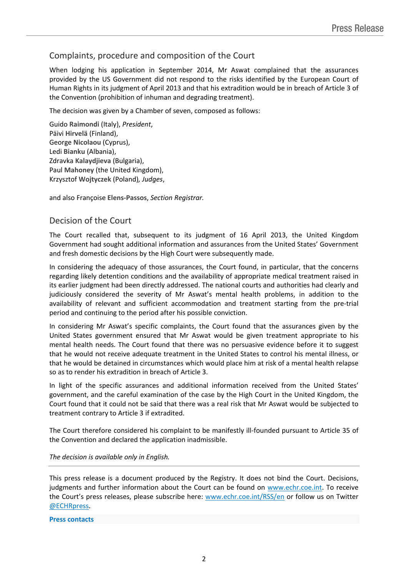## Complaints, procedure and composition of the Court

When lodging his application in September 2014, Mr Aswat complained that the assurances provided by the US Government did not respond to the risks identified by the European Court of Human Rights in its judgment of April 2013 and that his extradition would be in breach of Article 3 of the Convention (prohibition of inhuman and degrading treatment).

The decision was given by a Chamber of seven, composed as follows:

Guido **Raimondi** (Italy), *President*, Päivi **Hirvelä** (Finland), George **Nicolaou** (Cyprus), Ledi **Bianku** (Albania), Zdravka **Kalaydjieva** (Bulgaria), Paul **Mahoney** (the United Kingdom), Krzysztof **Wojtyczek** (Poland)*, Judges*,

and also Françoise **Elens-Passos**, *Section Registrar.*

## Decision of the Court

The Court recalled that, subsequent to its judgment of 16 April 2013, the United Kingdom Government had sought additional information and assurances from the United States' Government and fresh domestic decisions by the High Court were subsequently made.

In considering the adequacy of those assurances, the Court found, in particular, that the concerns regarding likely detention conditions and the availability of appropriate medical treatment raised in its earlier judgment had been directly addressed. The national courts and authorities had clearly and judiciously considered the severity of Mr Aswat's mental health problems, in addition to the availability of relevant and sufficient accommodation and treatment starting from the pre-trial period and continuing to the period after his possible conviction.

In considering Mr Aswat's specific complaints, the Court found that the assurances given by the United States government ensured that Mr Aswat would be given treatment appropriate to his mental health needs. The Court found that there was no persuasive evidence before it to suggest that he would not receive adequate treatment in the United States to control his mental illness, or that he would be detained in circumstances which would place him at risk of a mental health relapse so as to render his extradition in breach of Article 3.

In light of the specific assurances and additional information received from the United States' government, and the careful examination of the case by the High Court in the United Kingdom, the Court found that it could not be said that there was a real risk that Mr Aswat would be subjected to treatment contrary to Article 3 if extradited.

The Court therefore considered his complaint to be manifestly ill-founded pursuant to Article 35 of the Convention and declared the application inadmissible.

#### *The decision is available only in English.*

This press release is a document produced by the Registry. It does not bind the Court. Decisions, judgments and further information about the Court can be found on [www.echr.coe.int](http://www.echr.coe.int/). To receive the Court's press releases, please subscribe here: [www.echr.coe.int/RSS/en](http://www.echr.coe.int/RSS/en) or follow us on Twitter [@ECHRpress.](https://twitter.com/ECHR_Press)

**Press contacts**